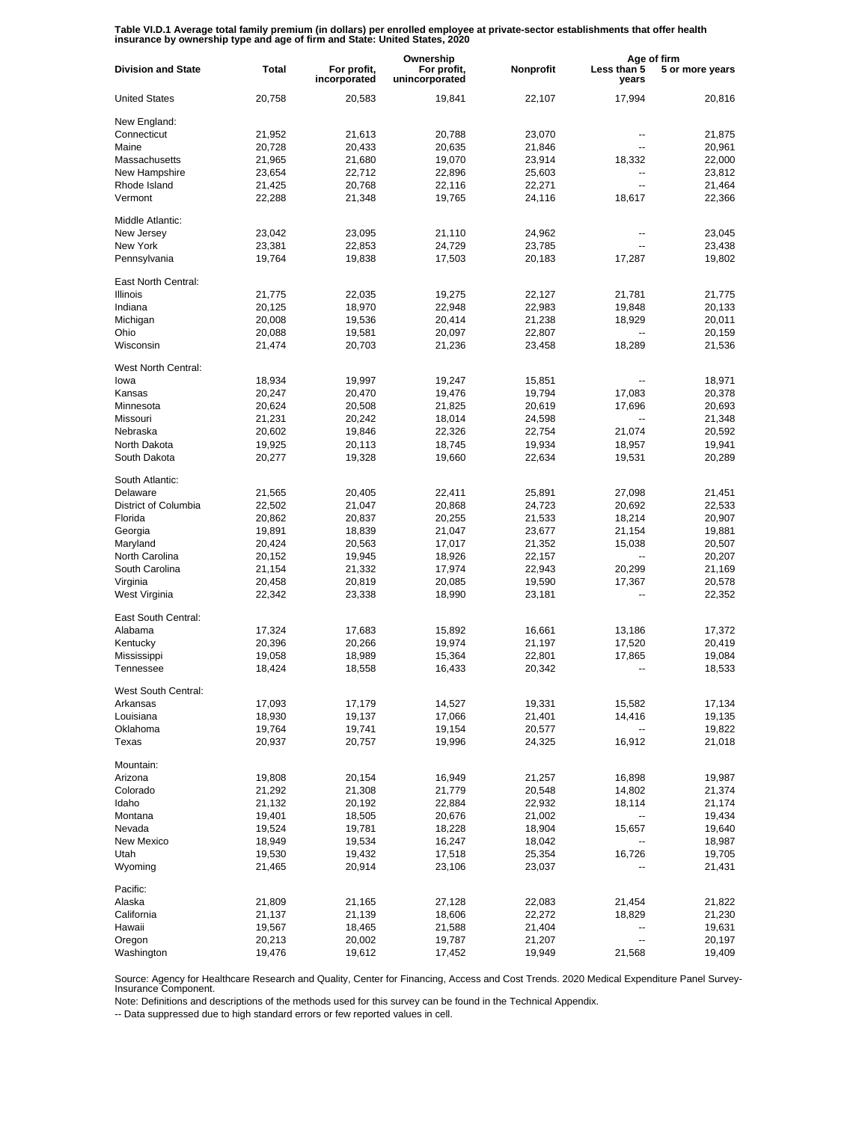**Table VI.D.1 Average total family premium (in dollars) per enrolled employee at private-sector establishments that offer health insurance by ownership type and age of firm and State: United States, 2020**

|                           |              |                             | Ownership                     |           | Age of firm              |                 |
|---------------------------|--------------|-----------------------------|-------------------------------|-----------|--------------------------|-----------------|
| <b>Division and State</b> | <b>Total</b> | For profit,<br>incorporated | For profit,<br>unincorporated | Nonprofit | Less than 5<br>years     | 5 or more years |
| <b>United States</b>      | 20,758       | 20,583                      | 19,841                        | 22,107    | 17,994                   | 20,816          |
| New England:              |              |                             |                               |           |                          |                 |
| Connecticut               | 21,952       | 21,613                      | 20,788                        | 23,070    | --                       | 21,875          |
| Maine                     | 20,728       | 20,433                      | 20,635                        | 21,846    | $\overline{a}$           | 20,961          |
| Massachusetts             | 21,965       | 21,680                      | 19,070                        | 23,914    | 18,332                   | 22,000          |
| New Hampshire             | 23,654       | 22,712                      | 22,896                        | 25,603    | --                       | 23,812          |
| Rhode Island              | 21,425       | 20,768                      | 22,116                        | 22,271    | --                       | 21,464          |
| Vermont                   | 22,288       | 21,348                      | 19,765                        | 24,116    | 18,617                   | 22,366          |
| Middle Atlantic:          |              |                             |                               |           |                          |                 |
| New Jersey                | 23,042       | 23,095                      | 21,110                        | 24,962    | $\overline{\phantom{a}}$ | 23,045          |
| New York                  | 23,381       | 22,853                      | 24,729                        | 23,785    | $\overline{a}$           | 23,438          |
| Pennsylvania              | 19,764       | 19,838                      | 17,503                        | 20,183    | 17,287                   | 19,802          |
| East North Central:       |              |                             |                               |           |                          |                 |
| <b>Illinois</b>           | 21,775       | 22,035                      | 19,275                        | 22,127    | 21,781                   | 21,775          |
| Indiana                   | 20,125       | 18,970                      | 22,948                        | 22,983    | 19,848                   | 20,133          |
| Michigan                  | 20,008       | 19,536                      | 20,414                        | 21,238    | 18,929                   | 20,011          |
| Ohio                      | 20,088       | 19,581                      | 20,097                        | 22,807    |                          | 20,159          |
| Wisconsin                 | 21,474       | 20,703                      |                               | 23,458    | 18,289                   | 21,536          |
|                           |              |                             | 21,236                        |           |                          |                 |
| West North Central:       |              |                             |                               |           |                          |                 |
| lowa                      | 18,934       | 19,997                      | 19.247                        | 15,851    |                          | 18,971          |
| Kansas                    | 20,247       | 20,470                      | 19,476                        | 19,794    | 17,083                   | 20,378          |
| Minnesota                 | 20,624       | 20,508                      | 21,825                        | 20,619    | 17,696                   | 20,693          |
| Missouri                  | 21,231       | 20,242                      | 18,014                        | 24,598    |                          | 21,348          |
| Nebraska                  | 20,602       | 19,846                      | 22,326                        | 22,754    | 21,074                   | 20,592          |
| North Dakota              | 19,925       | 20,113                      | 18,745                        | 19,934    | 18,957                   | 19,941          |
| South Dakota              | 20,277       | 19,328                      | 19,660                        | 22,634    | 19,531                   | 20,289          |
| South Atlantic:           |              |                             |                               |           |                          |                 |
| Delaware                  | 21,565       | 20,405                      | 22,411                        | 25,891    | 27,098                   | 21,451          |
| District of Columbia      | 22,502       | 21,047                      | 20,868                        | 24,723    | 20,692                   | 22,533          |
| Florida                   | 20,862       | 20,837                      | 20,255                        | 21,533    | 18,214                   | 20,907          |
| Georgia                   | 19,891       | 18,839                      | 21,047                        | 23,677    | 21,154                   | 19,881          |
|                           |              |                             |                               |           |                          |                 |
| Maryland                  | 20,424       | 20,563                      | 17,017                        | 21,352    | 15,038                   | 20,507          |
| North Carolina            | 20,152       | 19,945                      | 18,926                        | 22,157    |                          | 20,207          |
| South Carolina            | 21,154       | 21,332                      | 17,974                        | 22,943    | 20,299                   | 21,169          |
| Virginia                  | 20,458       | 20,819                      | 20,085                        | 19,590    | 17,367                   | 20,578          |
| West Virginia             | 22,342       | 23,338                      | 18,990                        | 23,181    | --                       | 22,352          |
| East South Central:       |              |                             |                               |           |                          |                 |
| Alabama                   | 17,324       | 17,683                      | 15,892                        | 16,661    | 13,186                   | 17,372          |
| Kentucky                  | 20,396       | 20,266                      | 19,974                        | 21,197    | 17,520                   | 20,419          |
| Mississippi               | 19,058       | 18,989                      | 15,364                        | 22,801    | 17,865                   | 19,084          |
| Tennessee                 | 18,424       | 18,558                      | 16,433                        | 20,342    | $\overline{a}$           | 18,533          |
| West South Central:       |              |                             |                               |           |                          |                 |
| Arkansas                  | 17,093       | 17,179                      | 14,527                        | 19,331    | 15,582                   | 17,134          |
| Louisiana                 | 18,930       | 19,137                      | 17,066                        | 21,401    | 14,416                   | 19,135          |
| Oklahoma                  | 19,764       | 19,741                      | 19,154                        | 20,577    | --                       | 19,822          |
| Texas                     | 20,937       | 20,757                      | 19,996                        | 24,325    | 16,912                   | 21,018          |
|                           |              |                             |                               |           |                          |                 |
| Mountain:                 |              | 20,154                      |                               |           |                          |                 |
| Arizona                   | 19,808       |                             | 16,949                        | 21,257    | 16,898                   | 19,987          |
| Colorado                  | 21,292       | 21,308                      | 21,779                        | 20,548    | 14,802                   | 21,374          |
| Idaho                     | 21,132       | 20,192                      | 22,884                        | 22,932    | 18,114                   | 21,174          |
| Montana                   | 19,401       | 18,505                      | 20,676                        | 21,002    | --                       | 19,434          |
| Nevada                    | 19,524       | 19,781                      | 18,228                        | 18,904    | 15,657                   | 19,640          |
| New Mexico                | 18,949       | 19,534                      | 16,247                        | 18,042    | --                       | 18,987          |
| Utah                      | 19,530       | 19,432                      | 17,518                        | 25,354    | 16,726                   | 19,705          |
| Wyoming                   | 21,465       | 20,914                      | 23,106                        | 23,037    |                          | 21,431          |
| Pacific:                  |              |                             |                               |           |                          |                 |
| Alaska                    | 21,809       | 21,165                      | 27,128                        | 22,083    | 21,454                   | 21,822          |
| California                |              |                             |                               |           |                          |                 |
|                           | 21,137       | 21,139                      | 18,606                        | 22,272    | 18,829                   | 21,230          |
| Hawaii                    | 19,567       | 18,465                      | 21,588                        | 21,404    | --                       | 19,631          |
| Oregon                    | 20,213       | 20,002                      | 19,787                        | 21,207    | -−                       | 20,197          |
| Washington                | 19,476       | 19,612                      | 17,452                        | 19,949    | 21,568                   | 19,409          |

Source: Agency for Healthcare Research and Quality, Center for Financing, Access and Cost Trends. 2020 Medical Expenditure Panel Survey-Insurance Component.

Note: Definitions and descriptions of the methods used for this survey can be found in the Technical Appendix.

-- Data suppressed due to high standard errors or few reported values in cell.